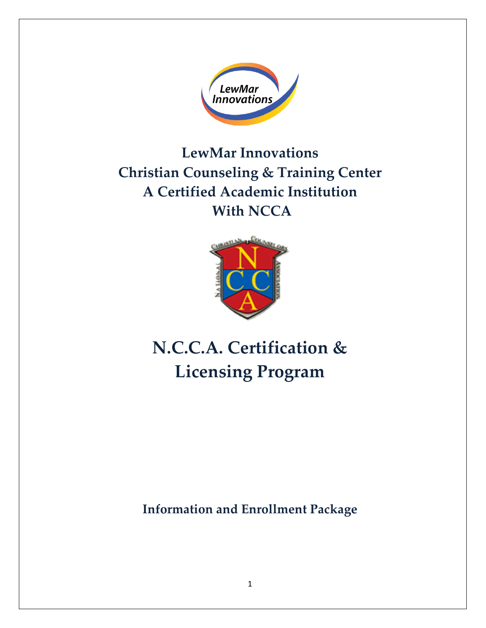

**LewMar Innovations Christian Counseling & Training Center A Certified Academic Institution With NCCA**



**N.C.C.A. Certification & Licensing Program**

**Information and Enrollment Package**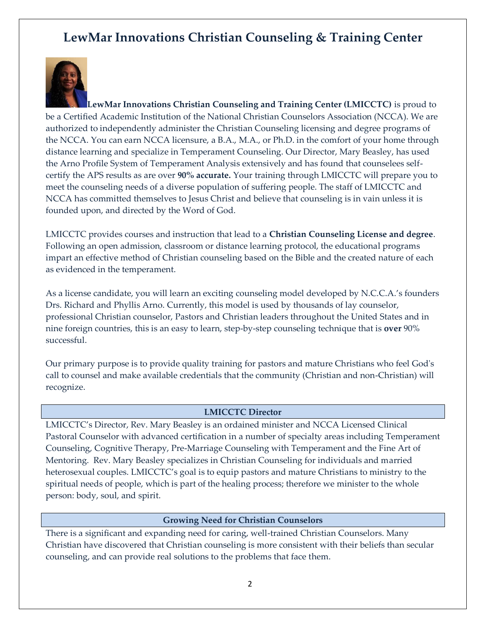# **LewMar Innovations Christian Counseling & Training Center**



**LewMar Innovations Christian Counseling and Training Center (LMICCTC)** is proud to be a Certified Academic Institution of the National Christian Counselors Association (NCCA). We are authorized to independently administer the Christian Counseling licensing and degree programs of the NCCA. You can earn NCCA licensure, a B.A., M.A., or Ph.D. in the comfort of your home through distance learning and specialize in Temperament Counseling. Our Director, Mary Beasley, has used the Arno Profile System of Temperament Analysis extensively and has found that counselees selfcertify the APS results as are over **90% accurate.** Your training through LMICCTC will prepare you to meet the counseling needs of a diverse population of suffering people. The staff of LMICCTC and NCCA has committed themselves to Jesus Christ and believe that counseling is in vain unless it is founded upon, and directed by the Word of God.

LMICCTC provides courses and instruction that lead to a **Christian Counseling License and degree**. Following an open admission, classroom or distance learning protocol, the educational programs impart an effective method of Christian counseling based on the Bible and the created nature of each as evidenced in the temperament.

As a license candidate, you will learn an exciting counseling model developed by N.C.C.A.'s founders Drs. Richard and Phyllis Arno. Currently, this model is used by thousands of lay counselor, professional Christian counselor, Pastors and Christian leaders throughout the United States and in nine foreign countries, this is an easy to learn, step-by-step counseling technique that is **over** 90% successful.

Our primary purpose is to provide quality training for pastors and mature Christians who feel God's call to counsel and make available credentials that the community (Christian and non-Christian) will recognize.

## **LMICCTC Director**

LMICCTC's Director, Rev. Mary Beasley is an ordained minister and NCCA Licensed Clinical Pastoral Counselor with advanced certification in a number of specialty areas including Temperament Counseling, Cognitive Therapy, Pre-Marriage Counseling with Temperament and the Fine Art of Mentoring. Rev. Mary Beasley specializes in Christian Counseling for individuals and married heterosexual couples. LMICCTC's goal is to equip pastors and mature Christians to ministry to the spiritual needs of people, which is part of the healing process; therefore we minister to the whole person: body, soul, and spirit.

#### **Growing Need for Christian Counselors**

There is a significant and expanding need for caring, well-trained Christian Counselors. Many Christian have discovered that Christian counseling is more consistent with their beliefs than secular counseling, and can provide real solutions to the problems that face them.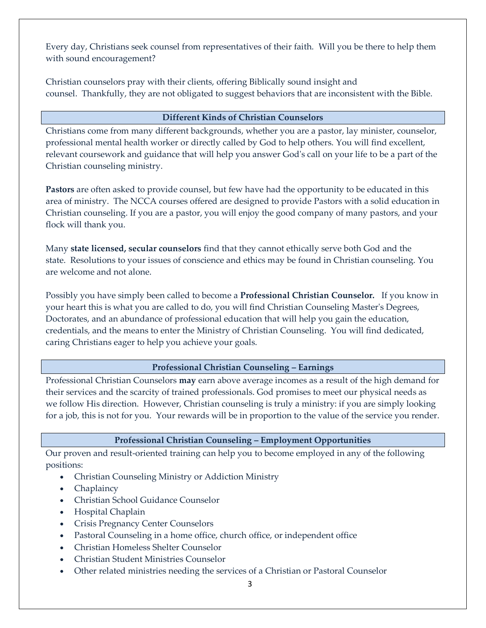Every day, Christians seek counsel from representatives of their faith. Will you be there to help them with sound encouragement?

Christian counselors pray with their clients, offering Biblically sound insight and counsel. Thankfully, they are not obligated to suggest behaviors that are inconsistent with the Bible.

## **Different Kinds of Christian Counselors**

Christians come from many different backgrounds, whether you are a pastor, lay minister, counselor, professional mental health worker or directly called by God to help others. You will find excellent, relevant coursework and guidance that will help you answer God's call on your life to be a part of the Christian counseling ministry.

**Pastors** are often asked to provide counsel, but few have had the opportunity to be educated in this area of ministry. The NCCA courses offered are designed to provide Pastors with a solid education in Christian counseling. If you are a pastor, you will enjoy the good company of many pastors, and your flock will thank you.

Many **state licensed, secular counselors** find that they cannot ethically serve both God and the state. Resolutions to your issues of conscience and ethics may be found in Christian counseling. You are welcome and not alone.

Possibly you have simply been called to become a **Professional Christian Counselor.** If you know in your heart this is what you are called to do, you will find Christian Counseling Master's Degrees, Doctorates, and an abundance of professional education that will help you gain the education, credentials, and the means to enter the Ministry of Christian Counseling. You will find dedicated, caring Christians eager to help you achieve your goals.

## **Professional Christian Counseling – Earnings**

Professional Christian Counselors **may** earn above average incomes as a result of the high demand for their services and the scarcity of trained professionals. God promises to meet our physical needs as we follow His direction. However, Christian counseling is truly a ministry: if you are simply looking for a job, this is not for you. Your rewards will be in proportion to the value of the service you render.

## **Professional Christian Counseling – Employment Opportunities**

Our proven and result-oriented training can help you to become employed in any of the following positions:

- Christian Counseling Ministry or Addiction Ministry
- Chaplaincy
- Christian School Guidance Counselor
- Hospital Chaplain
- Crisis Pregnancy Center Counselors
- Pastoral Counseling in a home office, church office, or independent office
- Christian Homeless Shelter Counselor
- Christian Student Ministries Counselor
- Other related ministries needing the services of a Christian or Pastoral Counselor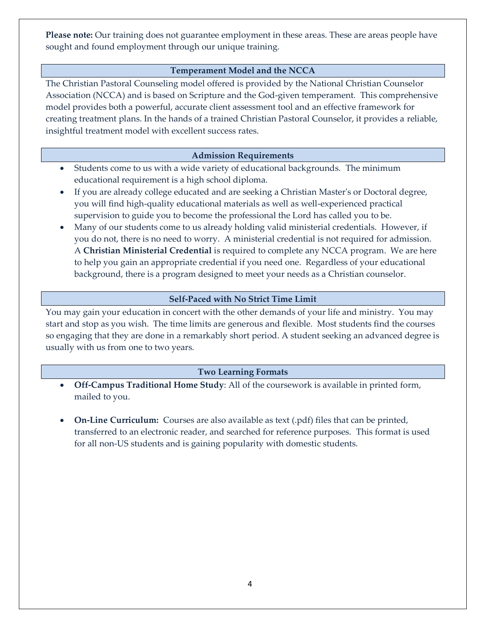**Please note:** Our training does not guarantee employment in these areas. These are areas people have sought and found employment through our unique training.

## **Temperament Model and the NCCA**

The Christian Pastoral Counseling model offered is provided by the National Christian Counselor Association (NCCA) and is based on Scripture and the God-given temperament*.* This comprehensive model provides both a powerful, accurate client assessment tool and an effective framework for creating treatment plans. In the hands of a trained Christian Pastoral Counselor, it provides a reliable, insightful treatment model with excellent success rates.

## **Admission Requirements**

- Students come to us with a wide variety of educational backgrounds. The minimum educational requirement is a high school diploma.
- If you are already college educated and are seeking a Christian Master's or Doctoral degree, you will find high-quality educational materials as well as well-experienced practical supervision to guide you to become the professional the Lord has called you to be.
- Many of our students come to us already holding valid ministerial credentials. However, if you do not, there is no need to worry. A ministerial credential is not required for admission. A **Christian Ministerial Credential** is required to complete any NCCA program. We are here to help you gain an appropriate credential if you need one. Regardless of your educational background, there is a program designed to meet your needs as a Christian counselor.

## **Self-Paced with No Strict Time Limit**

You may gain your education in concert with the other demands of your life and ministry. You may start and stop as you wish. The time limits are generous and flexible. Most students find the courses so engaging that they are done in a remarkably short period. A student seeking an advanced degree is usually with us from one to two years.

## **Two Learning Formats**

- **Off-Campus Traditional Home Study**: All of the coursework is available in printed form, mailed to you.
- **On-Line Curriculum:** Courses are also available as text (.pdf) files that can be printed, transferred to an electronic reader, and searched for reference purposes. This format is used for all non-US students and is gaining popularity with domestic students.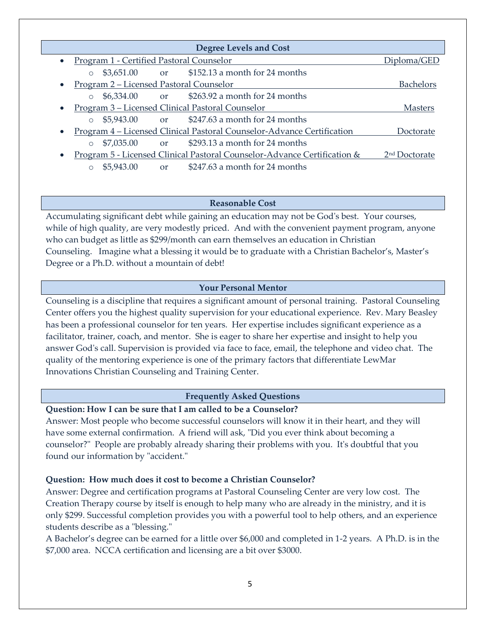|           |                                                  |                  | <b>Degree Levels and Cost</b>                                            |                           |
|-----------|--------------------------------------------------|------------------|--------------------------------------------------------------------------|---------------------------|
|           | <u>Program 1 - Certified Pastoral Counselor</u>  | Diploma/GED      |                                                                          |                           |
|           | $\circ$                                          |                  | \$3,651.00 or \$152.13 a month for 24 months                             |                           |
|           | <u>Program 2 – Licensed Pastoral Counselor</u>   | <b>Bachelors</b> |                                                                          |                           |
|           | $$6,334.00$ or<br>$\circ$                        |                  | \$263.92 a month for 24 months                                           |                           |
| $\bullet$ | Program 3 – Licensed Clinical Pastoral Counselor | <b>Masters</b>   |                                                                          |                           |
|           | $$5,943.00$ or<br>$\bigcirc$                     |                  | \$247.63 a month for 24 months                                           |                           |
| $\bullet$ |                                                  |                  | Program 4 – Licensed Clinical Pastoral Counselor-Advance Certification   | Doctorate                 |
|           | \$7,035.00<br>$\circ$                            | or or            | \$293.13 a month for 24 months                                           |                           |
|           |                                                  |                  | Program 5 - Licensed Clinical Pastoral Counselor-Advance Certification & | 2 <sup>nd</sup> Doctorate |
|           | \$5,943.00<br>$\circ$                            | <b>or</b>        | \$247.63 a month for 24 months                                           |                           |

#### **Reasonable Cost**

Accumulating significant debt while gaining an education may not be God's best. Your courses, while of high quality, are very modestly priced. And with the convenient payment program, anyone who can budget as little as \$299/month can earn themselves an education in Christian Counseling. Imagine what a blessing it would be to graduate with a Christian Bachelor's, Master's Degree or a Ph.D. without a mountain of debt!

## **Your Personal Mentor**

Counseling is a discipline that requires a significant amount of personal training. Pastoral Counseling Center offers you the highest quality supervision for your educational experience. Rev. Mary Beasley has been a professional counselor for ten years. Her expertise includes significant experience as a facilitator, trainer, coach, and mentor. She is eager to share her expertise and insight to help you answer God's call. Supervision is provided via face to face, email, the telephone and video chat. The quality of the mentoring experience is one of the primary factors that differentiate LewMar Innovations Christian Counseling and Training Center.

#### **Frequently Asked Questions**

#### **Question: How I can be sure that I am called to be a Counselor?**

Answer: Most people who become successful counselors will know it in their heart, and they will have some external confirmation. A friend will ask, "Did you ever think about becoming a counselor?" People are probably already sharing their problems with you. It's doubtful that you found our information by "accident."

#### **Question: How much does it cost to become a Christian Counselor?**

Answer: Degree and certification programs at Pastoral Counseling Center are very low cost. The Creation Therapy course by itself is enough to help many who are already in the ministry, and it is only \$299. Successful completion provides you with a powerful tool to help others, and an experience students describe as a "blessing."

A Bachelor's degree can be earned for a little over \$6,000 and completed in 1-2 years. A Ph.D. is in the \$7,000 area. NCCA certification and licensing are a bit over \$3000.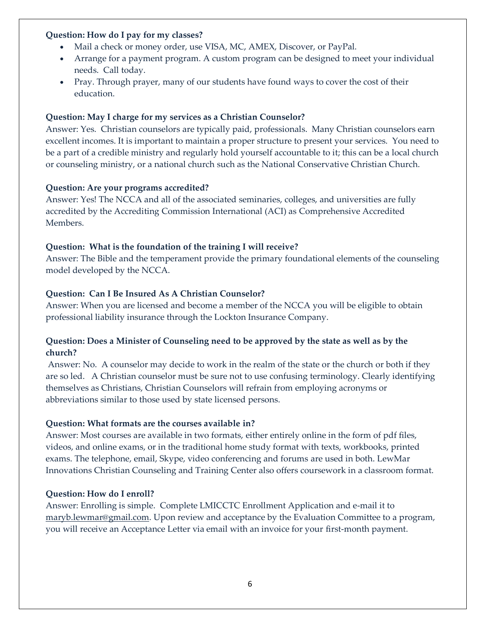## **Question: How do I pay for my classes?**

- Mail a check or money order, use VISA, MC, AMEX, Discover, or PayPal.
- Arrange for a payment program. A custom program can be designed to meet your individual needs. Call today.
- Pray. Through prayer, many of our students have found ways to cover the cost of their education.

## **Question: May I charge for my services as a Christian Counselor?**

Answer: Yes. Christian counselors are typically paid, professionals. Many Christian counselors earn excellent incomes. It is important to maintain a proper structure to present your services. You need to be a part of a credible ministry and regularly hold yourself accountable to it; this can be a local church or counseling ministry, or a national church such as the National Conservative Christian Church.

## **Question: Are your programs accredited?**

Answer: Yes! The NCCA and all of the associated seminaries, colleges, and universities are fully accredited by the Accrediting Commission International (ACI) as Comprehensive Accredited Members.

## **Question: What is the foundation of the training I will receive?**

Answer: The Bible and the temperament provide the primary foundational elements of the counseling model developed by the NCCA.

## **Question: Can I Be Insured As A Christian Counselor?**

Answer: When you are licensed and become a member of the NCCA you will be eligible to obtain professional liability insurance through the Lockton Insurance Company.

## **Question: Does a Minister of Counseling need to be approved by the state as well as by the church?**

Answer: No. A counselor may decide to work in the realm of the state or the church or both if they are so led. A Christian counselor must be sure not to use confusing terminology. Clearly identifying themselves as Christians, Christian Counselors will refrain from employing acronyms or abbreviations similar to those used by state licensed persons.

## **Question: What formats are the courses available in?**

Answer: Most courses are available in two formats, either entirely online in the form of pdf files, videos, and online exams, or in the traditional home study format with texts, workbooks, printed exams. The telephone, email, Skype, video conferencing and forums are used in both. LewMar Innovations Christian Counseling and Training Center also offers coursework in a classroom format.

## **Question: How do I enroll?**

Answer: Enrolling is simple. Complete LMICCTC Enrollment Application and e-mail it to [maryb.lewmar@gmail.com.](mailto:maryb.lewmar@gmail.com) Upon review and acceptance by the Evaluation Committee to a program, you will receive an Acceptance Letter via email with an invoice for your first-month payment.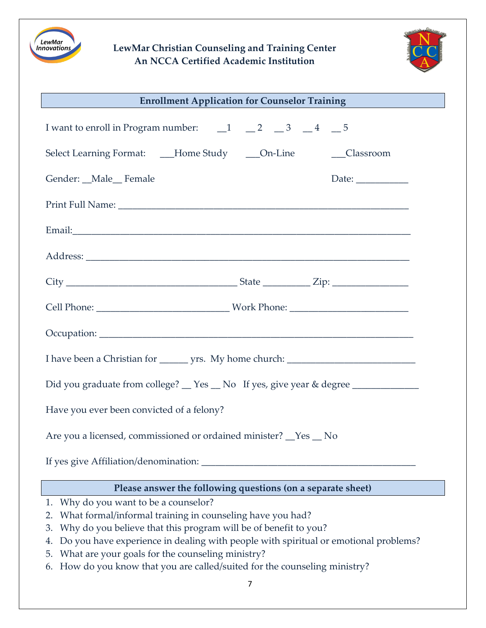

# **LewMar Christian Counseling and Training Center An NCCA Certified Academic Institution**



| <b>Enrollment Application for Counselor Training</b>                                              |  |  |  |  |  |  |
|---------------------------------------------------------------------------------------------------|--|--|--|--|--|--|
| I want to enroll in Program number: $\qquad \qquad -1 \qquad -2 \qquad -3 \qquad -4 \qquad -5$    |  |  |  |  |  |  |
| Select Learning Format: ___Home Study ____On-Line _______Classroom                                |  |  |  |  |  |  |
| Gender: _Male_Female<br>Date: $\frac{1}{\sqrt{1-\frac{1}{2}}\cdot\frac{1}{\sqrt{1-\frac{1}{2}}}}$ |  |  |  |  |  |  |
|                                                                                                   |  |  |  |  |  |  |
|                                                                                                   |  |  |  |  |  |  |
|                                                                                                   |  |  |  |  |  |  |
|                                                                                                   |  |  |  |  |  |  |
|                                                                                                   |  |  |  |  |  |  |
|                                                                                                   |  |  |  |  |  |  |
|                                                                                                   |  |  |  |  |  |  |
| Did you graduate from college? __ Yes __ No If yes, give year & degree __________                 |  |  |  |  |  |  |
| Have you ever been convicted of a felony?                                                         |  |  |  |  |  |  |
| Are you a licensed, commissioned or ordained minister? <u>Yes</u> No                              |  |  |  |  |  |  |
|                                                                                                   |  |  |  |  |  |  |
| Please answer the following questions (on a separate sheet)                                       |  |  |  |  |  |  |
| Why do you want to be a counselor?<br>1.                                                          |  |  |  |  |  |  |
| What formal/informal training in counseling have you had?<br>2.                                   |  |  |  |  |  |  |
| Why do you believe that this program will be of benefit to you?<br>3.                             |  |  |  |  |  |  |
| Do you have experience in dealing with people with spiritual or emotional problems?<br>4.         |  |  |  |  |  |  |
| What are your goals for the counseling ministry?<br>5.                                            |  |  |  |  |  |  |

6. How do you know that you are called/suited for the counseling ministry?